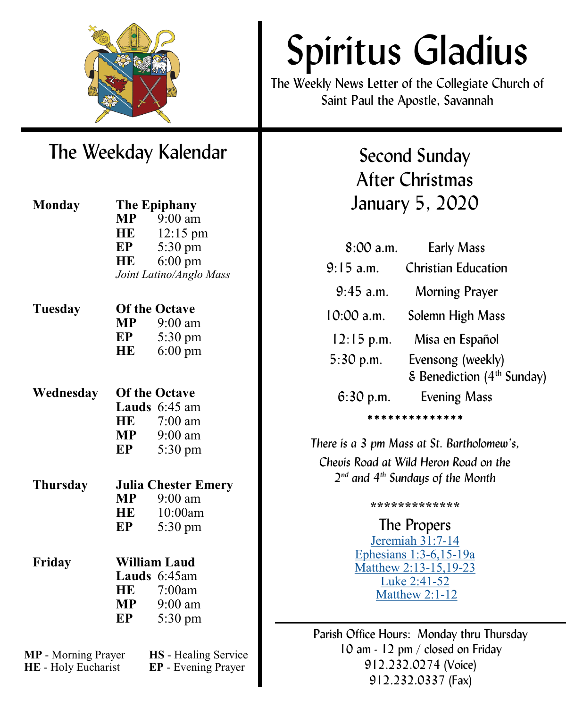

# The Weekday Kalendar

| <b>Monday</b>              | The Epiphany         |                                            |  |
|----------------------------|----------------------|--------------------------------------------|--|
|                            |                      | $MP$ 9:00 am                               |  |
|                            | <b>HE</b>            | 12:15 pm                                   |  |
|                            | EP                   | 5:30 pm                                    |  |
|                            | HE                   | $6:00$ pm                                  |  |
|                            |                      | Joint Latino/Anglo Mass                    |  |
| Tuesday                    | <b>Of the Octave</b> |                                            |  |
|                            |                      | $MP$ 9:00 am                               |  |
|                            | EP                   | $5:30 \text{ pm}$                          |  |
|                            | HE                   | $6:00 \text{ pm}$                          |  |
|                            |                      | <b>Of the Octave</b>                       |  |
| Wednesday                  |                      | <b>Lauds</b> $6:45$ am                     |  |
|                            |                      | HE 7:00 am                                 |  |
|                            |                      | $MP$ 9:00 am                               |  |
|                            | EP                   | 5:30 pm                                    |  |
|                            |                      |                                            |  |
| Thursday                   |                      | <b>Julia Chester Emery</b><br>$MP$ 9:00 am |  |
|                            | HE                   | 10:00am                                    |  |
|                            | EP                   |                                            |  |
|                            |                      | 5:30 pm                                    |  |
| Friday                     | <b>William Laud</b>  |                                            |  |
|                            |                      | Lauds 6:45am                               |  |
|                            | HE                   | 7:00am                                     |  |
|                            | MP                   | 9:00 am                                    |  |
|                            | EP                   | 5:30 pm                                    |  |
| <b>MP</b> - Morning Prayer |                      | HS - Healing Service                       |  |

**HE** - Holy Eucharist **EP** - Evening Prayer

# Spiritus Gladius

The Weekly News Letter of the Collegiate Church of Saint Paul the Apostle, Savannah

> Second Sunday After Christmas January 5, 2020

| $8:00$ a.m.  | <b>Early Mass</b>                                           |  |  |
|--------------|-------------------------------------------------------------|--|--|
| $9:15$ a.m.  | <b>Christian Education</b>                                  |  |  |
| $9:45$ a.m.  | Morning Prayer                                              |  |  |
| $10:00$ a.m. | Solemn High Mass                                            |  |  |
| $12:15$ p.m. | Misa en Español                                             |  |  |
| $5:30$ p.m.  | Evensong (weekly)<br>& Benediction (4 <sup>th</sup> Sunday) |  |  |
| $6:30$ p.m.  | <b>Evening Mass</b>                                         |  |  |
| *********    |                                                             |  |  |

*There is a 3 pm Mass at St. Bartholomew's, Chevis Road at Wild Heron Road on the 2 nd and 4th Sundays of the Month*

**\*\*\*\*\*\*\*\*\*\*\*\*\***

The Propers [Jeremiah 31:7](https://www.lectionarypage.net/YearABC/Christmas/Christmas2.html#Ot1)-14 [Ephesians 1:3](https://www.lectionarypage.net/YearABC/Christmas/Christmas2.html#Nt1)-6,15-19a [Matthew 2:13](https://www.lectionarypage.net/YearABC/Christmas/Christmas2.html#Gsp1)-15,19-23 [Luke 2:41](https://www.lectionarypage.net/YearABC/Christmas/Christmas2.html#Gsp2)-52 [Matthew 2:1](https://www.lectionarypage.net/YearABC/Christmas/Christmas2.html#Gsp3)-12

Parish Office Hours: Monday thru Thursday 10 am - 12 pm / closed on Friday 912.232.0274 (Voice) 912.232.0337 (Fax)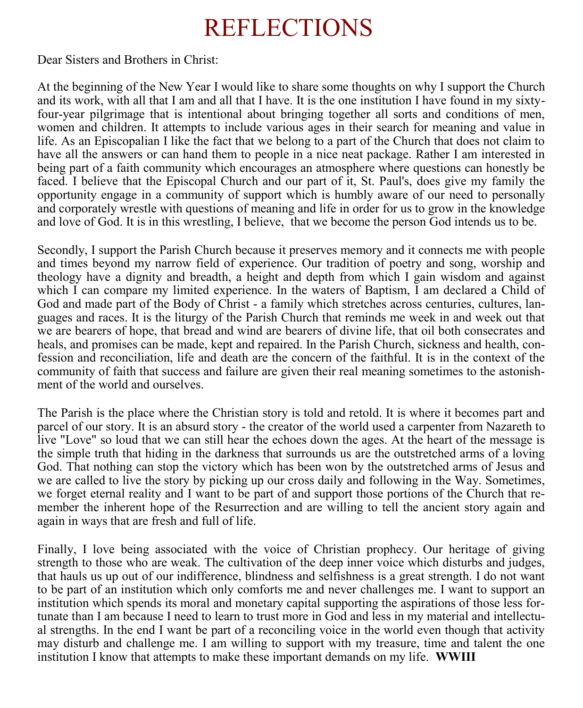# REFLECTIONS

Dear Sisters and Brothers in Christ:

At the beginning of the New Year I would like to share some thoughts on why I support the Church and its work, with all that I am and all that I have. It is the one institution I have found in my sixtyfour-year pilgrimage that is intentional about bringing together all sorts and conditions of men, women and children. It attempts to include various ages in their search for meaning and value in life. As an Episcopalian I like the fact that we belong to a part of the Church that does not claim to have all the answers or can hand them to people in a nice neat package. Rather I am interested in being part of a faith community which encourages an atmosphere where questions can honestly be faced. I believe that the Episcopal Church and our part of it, St. Paul's, does give my family the opportunity engage in a community of support which is humbly aware of our need to personally and corporately wrestle with questions of meaning and life in order for us to grow in the knowledge and love of God. It is in this wrestling, I believe, that we become the person God intends us to be.

Secondly, I support the Parish Church because it preserves memory and it connects me with people and times beyond my narrow field of experience. Our tradition of poetry and song, worship and theology have a dignity and breadth, a height and depth from which I gain wisdom and against which I can compare my limited experience. In the waters of Baptism, I am declared a Child of God and made part of the Body of Christ - a family which stretches across centuries, cultures, languages and races. It is the liturgy of the Parish Church that reminds me week in and week out that we are bearers of hope, that bread and wind are bearers of divine life, that oil both consecrates and heals, and promises can be made, kept and repaired. In the Parish Church, sickness and health, confession and reconciliation, life and death are the concern of the faithful. It is in the context of the community of faith that success and failure are given their real meaning sometimes to the astonishment of the world and ourselves.

The Parish is the place where the Christian story is told and retold. It is where it becomes part and parcel of our story. It is an absurd story - the creator of the world used a carpenter from Nazareth to live "Love" so loud that we can still hear the echoes down the ages. At the heart of the message is the simple truth that hiding in the darkness that surrounds us are the outstretched arms of a loving God. That nothing can stop the victory which has been won by the outstretched arms of Jesus and we are called to live the story by picking up our cross daily and following in the Way. Sometimes, we forget eternal reality and I want to be part of and support those portions of the Church that remember the inherent hope of the Resurrection and are willing to tell the ancient story again and again in ways that are fresh and full of life.

Finally, I love being associated with the voice of Christian prophecy. Our heritage of giving strength to those who are weak. The cultivation of the deep inner voice which disturbs and judges, that hauls us up out of our indifference, blindness and selfishness is a great strength. I do not want to be part of an institution which only comforts me and never challenges me. I want to support an institution which spends its moral and monetary capital supporting the aspirations of those less fortunate than I am because I need to learn to trust more in God and less in my material and intellectual strengths. In the end I want be part of a reconciling voice in the world even though that activity may disturb and challenge me. I am willing to support with my treasure, time and talent the one institution I know that attempts to make these important demands on my life. **WWIII**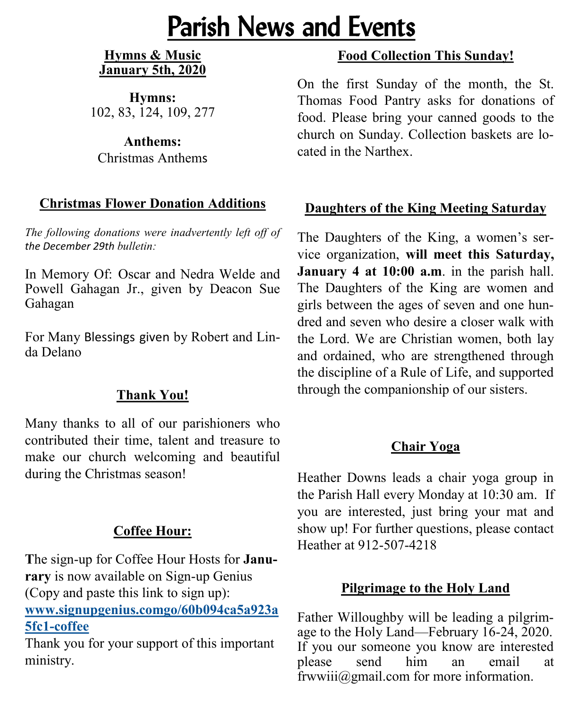# Parish News and Events

#### **Hymns & Music January 5th, 2020**

**Hymns:**  102, 83, 124, 109, 277

**Anthems:**  Christmas Anthems

## **Christmas Flower Donation Additions**

*The following donations were inadvertently left off of the December 29th bulletin:*

In Memory Of: Oscar and Nedra Welde and Powell Gahagan Jr., given by Deacon Sue Gahagan

For Many Blessings given by Robert and Linda Delano

# **Thank You!**

Many thanks to all of our parishioners who contributed their time, talent and treasure to make our church welcoming and beautiful during the Christmas season!

# **Coffee Hour:**

**T**he sign-up for Coffee Hour Hosts for **Janurary** is now available on Sign-up Genius (Copy and paste this link to sign up): **[www.signupgenius.comgo/60b094ca5a923a](https://www.signupgenius.com/go/60b094ca5a923a5fc1-coffee) 5fc1-[coffee](https://www.signupgenius.com/go/60b094ca5a923a5fc1-coffee)**

Thank you for your support of this important ministry.

# **Food Collection This Sunday!**

On the first Sunday of the month, the St. Thomas Food Pantry asks for donations of food. Please bring your canned goods to the church on Sunday. Collection baskets are located in the Narthex.

## **Daughters of the King Meeting Saturday**

The Daughters of the King, a women's service organization, **will meet this Saturday, January 4 at 10:00 a.m**. in the parish hall. The Daughters of the King are women and girls between the ages of seven and one hundred and seven who desire a closer walk with the Lord. We are Christian women, both lay and ordained, who are strengthened through the discipline of a Rule of Life, and supported through the companionship of our sisters.

## **Chair Yoga**

Heather Downs leads a chair yoga group in the Parish Hall every Monday at 10:30 am. If you are interested, just bring your mat and show up! For further questions, please contact Heather at 912-507-4218

## **Pilgrimage to the Holy Land**

Father Willoughby will be leading a pilgrimage to the Holy Land—February 16-24, 2020. If you our someone you know are interested please send him an email at frwwiii@gmail.com for more information.